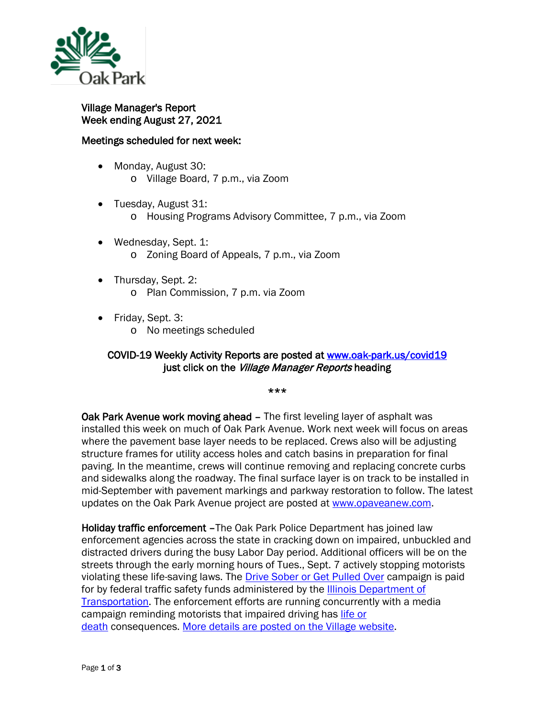

Village Manager's Report Week ending August 27, 2021

## Meetings scheduled for next week:

- Monday, August 30: o Village Board, 7 p.m., via Zoom
- Tuesday, August 31:
	- o Housing Programs Advisory Committee, 7 p.m., via Zoom
- Wednesday, Sept. 1: o Zoning Board of Appeals, 7 p.m., via Zoom
- Thursday, Sept. 2: o Plan Commission, 7 p.m. via Zoom
	-
- Friday, Sept. 3:
	- o No meetings scheduled

## COVID-19 Weekly Activity Reports are posted at [www.oak-park.us/covid19](http://www.oak-park.us/covid19)  just click on the Village Manager Reports heading

\*\*\*

Oak Park Avenue work moving ahead - The first leveling layer of asphalt was installed this week on much of Oak Park Avenue. Work next week will focus on areas where the pavement base layer needs to be replaced. Crews also will be adjusting structure frames for utility access holes and catch basins in preparation for final paving. In the meantime, crews will continue removing and replacing concrete curbs and sidewalks along the roadway. The final surface layer is on track to be installed in mid-September with pavement markings and parkway restoration to follow. The latest updates on the Oak Park Avenue project are posted at [www.opaveanew.com.](http://www.opaveanew.com/)

Holiday traffic enforcement –The Oak Park Police Department has joined law enforcement agencies across the state in cracking down on impaired, unbuckled and distracted drivers during the busy Labor Day period. Additional officers will be on the streets through the early morning hours of Tues., Sept. 7 actively stopping motorists violating these life-saving laws. The **[Drive Sober or Get Pulled Over](https://www.nhtsa.gov/campaign/drive-sober-or-get-pulled-over)** campaign is paid for by federal traffic safety funds administered by the [Illinois Department of](http://idot.illinois.gov/)  [Transportation.](http://idot.illinois.gov/) The enforcement efforts are running concurrently with a media campaign reminding motorists that impaired driving has [life or](https://lifeordeathillinois.com/)  [death](https://lifeordeathillinois.com/) consequences. [More details are posted on the Village website.](https://www.oak-park.us/news/labor-day-drive-safe-and-sober-or-get-pulled-over)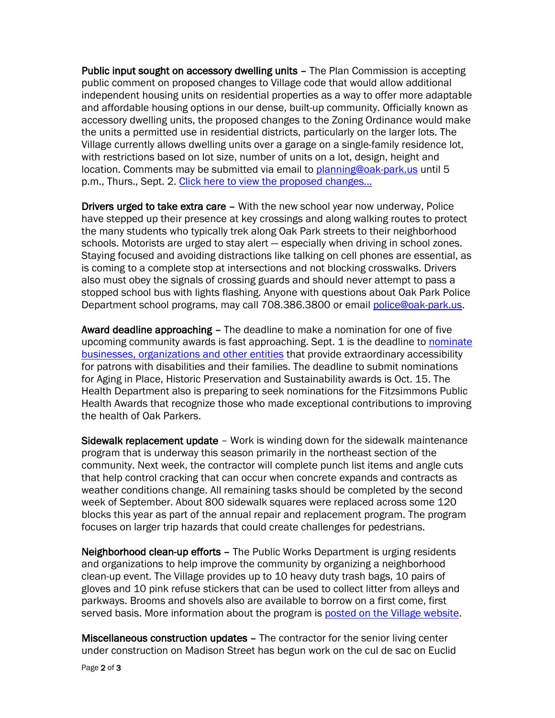Public input sought on accessory dwelling units – The Plan Commission is accepting public comment on proposed changes to Village code that would allow additional independent housing units on residential properties as a way to offer more adaptable and affordable housing options in our dense, built-up community. Officially known as accessory dwelling units, the proposed changes to the Zoning Ordinance would make the units a permitted use in residential districts, particularly on the larger lots. The Village currently allows dwelling units over a garage on a single-family residence lot, with restrictions based on lot size, number of units on a lot, design, height and location. Comments may be submitted via email to [planning@oak-park.us](mailto:planning@oak-park.us) until 5 p.m., Thurs., Sept. 2. [Click here to view the proposed changes…](https://www.oak-park.us/sites/default/files/456678891/2021-09-02-proposed-accessory-dwelling-unit-zoning-ordinance-mendments.pdf)

Drivers urged to take extra care – With the new school year now underway, Police have stepped up their presence at key crossings and along walking routes to protect the many students who typically trek along Oak Park streets to their neighborhood schools. Motorists are urged to stay alert — especially when driving in school zones. Staying focused and avoiding distractions like talking on cell phones are essential, as is coming to a complete stop at intersections and not blocking crosswalks. Drivers also must obey the signals of crossing guards and should never attempt to pass a stopped school bus with lights flashing. Anyone with questions about Oak Park Police Department school programs, may call 708.386.3800 or email [police@oak-park.us.](mailto:police@oak-park.us)

Award deadline approaching – The deadline to make a nomination for one of five upcoming community awards is fast approaching. Sept. 1 is the deadline to nominate [businesses, organizations and other entities](https://www.oak-park.us/your-government/citizen-commissions/disability-access/disability-access-awards) that provide extraordinary accessibility for patrons with disabilities and their families. The deadline to submit nominations for Aging in Place, Historic Preservation and Sustainability awards is Oct. 15. The Health Department also is preparing to seek nominations for the Fitzsimmons Public Health Awards that recognize those who made exceptional contributions to improving the health of Oak Parkers.

Sidewalk replacement update – Work is winding down for the sidewalk maintenance program that is underway this season primarily in the northeast section of the community. Next week, the contractor will complete punch list items and angle cuts that help control cracking that can occur when concrete expands and contracts as weather conditions change. All remaining tasks should be completed by the second week of September. About 800 sidewalk squares were replaced across some 120 blocks this year as part of the annual repair and replacement program. The program focuses on larger trip hazards that could create challenges for pedestrians.

Neighborhood clean-up efforts – The Public Works Department is urging residents and organizations to help improve the community by organizing a neighborhood clean-up event. The Village provides up to 10 heavy duty trash bags, 10 pairs of gloves and 10 pink refuse stickers that can be used to collect litter from alleys and parkways. Brooms and shovels also are available to borrow on a first come, first served basis. More information about the program is [posted on the Village website.](https://www.oak-park.us/village-services/garbage-collection/keep-oak-park-beautiful/neighborhood-clean-program)

Miscellaneous construction updates – The contractor for the senior living center under construction on Madison Street has begun work on the cul de sac on Euclid